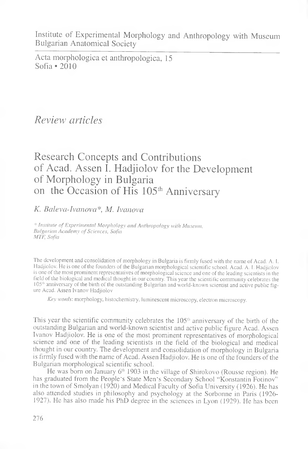Institute of Experimental Morphology and Anthropology with Museum Bulgarian Anatomical Society

Acta morphologica et anthropologica, 15 Sofia • 2010

*Review articles*

## Research Concepts and Contributions of Acad. Assen I. Hadjiolov for the Development of Morphology in Bulgaria on the Occasion of His 105<sup>th</sup> Anniversary

*K. Baleva-Ivanova\*, M. Ivanova*

\* *Institute of Experimental Morphology and Anthropology with Museum, Bulgarian Academy of Sciences, Sofia MTF, Sofia*

The development and consolidation of morphology in Bulgaria is firmly fused with the name of Acad. A. I. Hadjiolov. He is one of the founders of the Bulgarian morphological scientific school. Acad. A. 1. Hadjiolov is one of the most prominent representatives of morphological science and one of the leading scientists in the field of the biological and medical thought in our country. This year the scientific community celebrates the 105"' anniversary of the birth of the outstanding Bulgarian and world-known scientist and active public figure Acad. Assen Ivanov Hadjiolov

*Key words:* morphology, histochemistry, luminescent microscopy, electron microscopy.

This year the scientific community celebrates the 105th anniversary of the birth of the outstanding Bulgarian and world-known scientist and active public figure Acad. Assen Ivanov Hadjiolov. He is one of the most prominent representatives of morphological science and one of the leading scientists in the field of the biological and medical thought in our country. The development and consolidation of morphology in Bulgaria is firmly fused with the name of Acad. Assen Hadjiolov. He is one of the founders of the Bulgarian morphological scientific school.

He was born on January 6<sup>th</sup> 1903 in the village of Shirokovo (Rousse region). He has graduated from the People's State Men's Secondary School "Konstantin Fotinov" in the town of Smolyan (1920) and Medical Faculty of Sofia University (1926). He has also attended studies in philosophy and psychology at the Sorbonne in Paris (1926 1927). He has also made his PhD degree in the sciences in Lyon (1929). He has been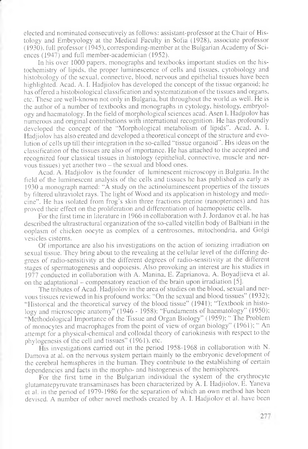elected and nominated consecutively as follows: assistant-professor at the Chair of Histology and Embryology at the Medical Faculty in Sofia (1928), associate professor (1930), full professor (1945), corresponding-member at the Bulgarian Academy of Sciences (1947) and full member-academician (1952).

In his over 1000 papers, monographs and textbooks important studies on the histochemistry of lipids, the proper luminescence of cells and tissues, cytobiology and histobiology of the sexual, connective, blood, nervous and epithelial tissues have been highlighted. Acad. A. I. Hadjiolov has developed the concept of the tissue organoid; he has offered a histobiological classification and systematization of the tissues and organs, etc. These are well-known not only in Bulgaria, but throughout the world as well. He is the author of a number of textbooks and monographs in cytology, histology, embryology and haematology. In the field of morphological sciences acad. Asen I. Hadjiolov has numerous and original contributions with international recognition. He has profoundly developed the concept of the "Morphological metabolism of lipids". Acad. A. I. Hadjiolov has also created and developed a theoretical concept of the structure and evolution of cells up till their integration in the so-called "tissue organoid". His ideas on the classification of the tissues are also of importance. He has attached to the accepted and recognized four classical tissues in histology (epithelial, connective, muscle and nervous tissues) yet another two – the sexual and blood ones.

Acad. A. Hadjiolov is the founder of luminescent microscopy in Bulgaria. In the field of the luminescent analysis of the cells and tissues he has published as early as 1930 a monograph named: "A study on the actinoluminescent properties of the tissues by filtered ultraviolet rays. The light of Wood and its application in histology and medicine". He has isolated from frog's skin three fractions pterine (ranopterines) and has proved their effect on the proliferation and differentiation of haemopoietic cells.

For the first time in literature in 1966 in collaboration with J. Jordanov et al. he has described the ultrastructural organization of the so-called vitellin body of Balbiani in the ooplasm of chicken oocyte as complex of a centrosomes, mitochondria, and Golgi vesicles cisterns.

Of importance are also his investigations on the action of ionizing irradiation on sexual tissue. They bring about to the revealing at the cellular level of the differing degrees of radio-sensitivity at the different degrees of radio-sensitivity at the different stages of spermatogenesis and oopoiesis. Also provoking an interest are his studies in 1977 conducted in collaboration with A. Manina, E. Zaprianova, A. Boyadjieva et al. on the adaptational - compensatory reaction of the brain upon irradiation [5].

The tributes of Acad. Hadjiolov in the area of studies on the blood, sexual and nervous tissues reviewed in his profound works: "On the sexual and blood tissues" (1932); "Historical and the theoretical survey of the blood tissue" (1941); "Textbook in histology and microscopic anatomy" (1946 - 1958); "Fundaments of haematology" (1950); "Methodological Importance of the Tissue and Organ Biology" (1959); " The Problem of monocytes and macrophages from the point of view of organ biology" (1961); " An attempt for a physical-chemical and colloidal theory of cariokinesis with respect to the phylogenesis of the cell and tissues" (1961), etc.

His investigations carried out in the period 1958-1968 in collaboration with N. Damova at al. on the nervous system pertain mainly to the embryonic development of the cerebral hemispheres in the human. They contribute to the establishing of certain dependencies and facts in the morpho- and histogenesis of the hemispheres.

For the first time in the Bulgarian individual the system of the erythrocyte glutamatepyruvate transaminases has been characterized by A. I. Hadjiolov, E. Yaneva et al. in the period of 1979-1986 for the separation of which an own method has been devised. A number of other novel methods created by A. I. Hadjiolov et al. have been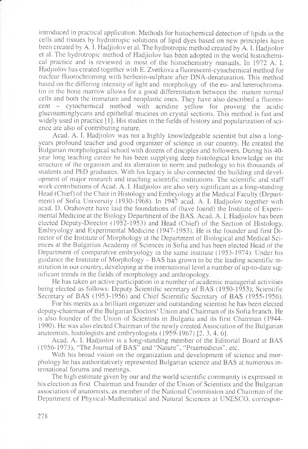introduced in practical application. Methods for histochemical detection of lipids in the cells and tissues by hydrotropic solutions of lipid dyes based on new principles have been created by A. I. Hadjiolov et al. The hydrotropic method created by A. 1. Hadjiolov et al. The hydrotropic method of Hadjiolov has been adopted in the world histochemical practice and is reviewed in most of the histochemistry manuals. In 1972 A. I. Hadjiolov has created together with E. Zvetkova a fluorescent-cytochemical method for nuclear fluorochroming with berberin-sulphate after DNA-denaturation. This method based on the differing intensity of light and morphology of the eu- and heterochromatin in the bone marrow allows for a good differentiation between the mature normal cells and both the immature and neoplastic ones. They have also described a fluorescent - cytochemical method with acridine yellow for proving the acidic glucosaminglycans and epithelial mucines on crystal sections. This method is fast and widely used in practice [1]. His studies in the fields of history and popularization of science are also of contributing nature.

Acad. A. I. Hadjiolov was not a highly knowledgeable scientist but also a longyears profound teacher and good organizer of science in our country. He created the Bulgarian morphological school with dozens of disciples and followers. During his 40 year long teaching career he has been supplying deep histological knowledge on the structure of the organism and its alteration in norm and pathology to his thousands of students and PhD graduates. With his legacy is also connected the building and development of major research and teaching scientific institutions. The scientific and staff work contributions of Acad. A. I. Hadjiolov are also very significant as a long-standing Head (Chief) of the Chair in Histology and Embryology at the Medical Faculty (Department) of Sofia University (1930-1968). In 1947 acad. A. I. Hadjiolov together with acad. D. Orahovetz have laid the foundations of (have found) the Institute of Experimental Medicine at the Biology Department of the BAS. Acad. A. I. Hadjiolov has been elected Deputy-Director (1952-1953) and Head (Chief) of the Section of Histology. Embryology and Experimental Medicine (1947-1953). He is the founder and first Director of the Institute of Morphology at the Department of Biological and Medical Sciences at the Bulgarian Academy of Sciences in Sofia and has been elected Head of the Department of comparative embryology in the same institute (1953-1974). Under his guidance the Institute of Morphology  $-$  BAS has grown to be the leading scientific institution in our country, developing at the international level a number of up-to-date significant trends in the fields of morphology and anthropology.

He has taken an active participation in a number of academic managerial activities being elected as follows: Deputy Scientific secretary of BAS (1950-1953); Scientific Secretary of BAS (1953-1956) and Chief Scientific Secretary of BAS (1955-1956).

For his merits as a brilliant organizer and outstanding scientist he has been elected deputy-chairman of the Bulgarian Doctors\* Union and Chairman of its Sofia branch. He is also founder of the Union of Scientists in Bulgaria and its first Chairman (1944 1990). He was also elected Chairman of the newly created Association of the Bulgarian anatomists, histologists and embryologists (1959-1967) [2, 3, 4. 6].

Acad. A. I. Hadjiolov is a long-standing member of the Editorial Board at BAS (1956-1973), "The Journal of BAS" and "Nature", "Praemedicus", etc.

With his broad vision on the organization and development of science and morphology he has authoritatively represented Bulgarian science and BAS at numerous international forums and meetings.

The high estimate given by our and the world scientific community is expressed in his election as first Chairman and founder of the Union of Scientists and the Bulgarian association of anatomists, as member of the National Commission and Chairman of the Department of Physical-Mathematical and Natural Sciences at UNESCO, correspon